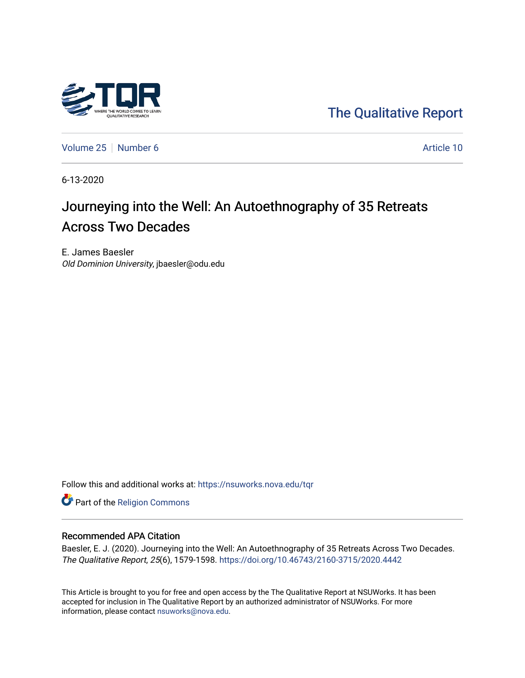

[The Qualitative Report](https://nsuworks.nova.edu/tqr) 

[Volume 25](https://nsuworks.nova.edu/tqr/vol25) [Number 6](https://nsuworks.nova.edu/tqr/vol25/iss6) Article 10

6-13-2020

# Journeying into the Well: An Autoethnography of 35 Retreats Across Two Decades

E. James Baesler Old Dominion University, jbaesler@odu.edu

Follow this and additional works at: [https://nsuworks.nova.edu/tqr](https://nsuworks.nova.edu/tqr?utm_source=nsuworks.nova.edu%2Ftqr%2Fvol25%2Fiss6%2F10&utm_medium=PDF&utm_campaign=PDFCoverPages) 

Part of the [Religion Commons](http://network.bepress.com/hgg/discipline/538?utm_source=nsuworks.nova.edu%2Ftqr%2Fvol25%2Fiss6%2F10&utm_medium=PDF&utm_campaign=PDFCoverPages)

#### Recommended APA Citation

Baesler, E. J. (2020). Journeying into the Well: An Autoethnography of 35 Retreats Across Two Decades. The Qualitative Report, 25(6), 1579-1598. <https://doi.org/10.46743/2160-3715/2020.4442>

This Article is brought to you for free and open access by the The Qualitative Report at NSUWorks. It has been accepted for inclusion in The Qualitative Report by an authorized administrator of NSUWorks. For more information, please contact [nsuworks@nova.edu.](mailto:nsuworks@nova.edu)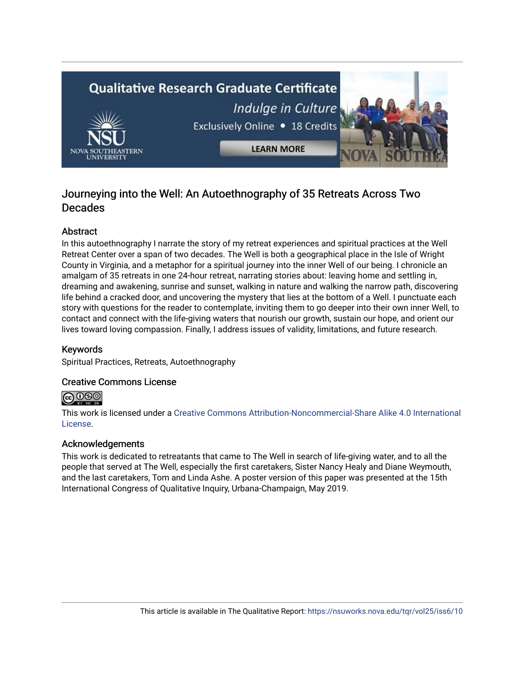# **Qualitative Research Graduate Certificate** Indulge in Culture Exclusively Online . 18 Credits **LEARN MORE**

# Journeying into the Well: An Autoethnography of 35 Retreats Across Two Decades

# Abstract

In this autoethnography I narrate the story of my retreat experiences and spiritual practices at the Well Retreat Center over a span of two decades. The Well is both a geographical place in the Isle of Wright County in Virginia, and a metaphor for a spiritual journey into the inner Well of our being. I chronicle an amalgam of 35 retreats in one 24-hour retreat, narrating stories about: leaving home and settling in, dreaming and awakening, sunrise and sunset, walking in nature and walking the narrow path, discovering life behind a cracked door, and uncovering the mystery that lies at the bottom of a Well. I punctuate each story with questions for the reader to contemplate, inviting them to go deeper into their own inner Well, to contact and connect with the life-giving waters that nourish our growth, sustain our hope, and orient our lives toward loving compassion. Finally, I address issues of validity, limitations, and future research.

# Keywords

Spiritual Practices, Retreats, Autoethnography

# Creative Commons License



This work is licensed under a [Creative Commons Attribution-Noncommercial-Share Alike 4.0 International](https://creativecommons.org/licenses/by-nc-sa/4.0/)  [License](https://creativecommons.org/licenses/by-nc-sa/4.0/).

# Acknowledgements

This work is dedicated to retreatants that came to The Well in search of life-giving water, and to all the people that served at The Well, especially the first caretakers, Sister Nancy Healy and Diane Weymouth, and the last caretakers, Tom and Linda Ashe. A poster version of this paper was presented at the 15th International Congress of Qualitative Inquiry, Urbana-Champaign, May 2019.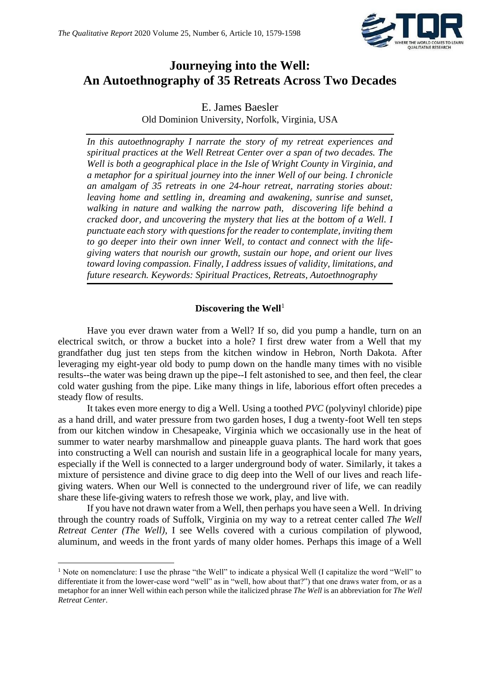

# **Journeying into the Well: An Autoethnography of 35 Retreats Across Two Decades**

E. James Baesler Old Dominion University, Norfolk, Virginia, USA

*In this autoethnography I narrate the story of my retreat experiences and spiritual practices at the Well Retreat Center over a span of two decades. The Well is both a geographical place in the Isle of Wright County in Virginia, and a metaphor for a spiritual journey into the inner Well of our being. I chronicle an amalgam of 35 retreats in one 24-hour retreat, narrating stories about: leaving home and settling in, dreaming and awakening, sunrise and sunset, walking in nature and walking the narrow path, discovering life behind a cracked door, and uncovering the mystery that lies at the bottom of a Well. I punctuate each story with questions for the reader to contemplate, inviting them to go deeper into their own inner Well, to contact and connect with the lifegiving waters that nourish our growth, sustain our hope, and orient our lives toward loving compassion. Finally, I address issues of validity, limitations, and future research. Keywords: Spiritual Practices, Retreats, Autoethnography*

#### **Discovering the Well**<sup>1</sup>

Have you ever drawn water from a Well? If so, did you pump a handle, turn on an electrical switch, or throw a bucket into a hole? I first drew water from a Well that my grandfather dug just ten steps from the kitchen window in Hebron, North Dakota. After leveraging my eight-year old body to pump down on the handle many times with no visible results--the water was being drawn up the pipe--I felt astonished to see, and then feel, the clear cold water gushing from the pipe. Like many things in life, laborious effort often precedes a steady flow of results.

It takes even more energy to dig a Well. Using a toothed *PVC* (polyvinyl chloride) pipe as a hand drill, and water pressure from two garden hoses, I dug a twenty-foot Well ten steps from our kitchen window in Chesapeake, Virginia which we occasionally use in the heat of summer to water nearby marshmallow and pineapple guava plants. The hard work that goes into constructing a Well can nourish and sustain life in a geographical locale for many years, especially if the Well is connected to a larger underground body of water. Similarly, it takes a mixture of persistence and divine grace to dig deep into the Well of our lives and reach lifegiving waters. When our Well is connected to the underground river of life, we can readily share these life-giving waters to refresh those we work, play, and live with.

If you have not drawn water from a Well, then perhaps you have seen a Well. In driving through the country roads of Suffolk, Virginia on my way to a retreat center called *The Well Retreat Center (The Well)*, I see Wells covered with a curious compilation of plywood, aluminum, and weeds in the front yards of many older homes. Perhaps this image of a Well

<sup>&</sup>lt;sup>1</sup> Note on nomenclature: I use the phrase "the Well" to indicate a physical Well (I capitalize the word "Well" to differentiate it from the lower-case word "well" as in "well, how about that?") that one draws water from, or as a metaphor for an inner Well within each person while the italicized phrase *The Well* is an abbreviation for *The Well Retreat Center*.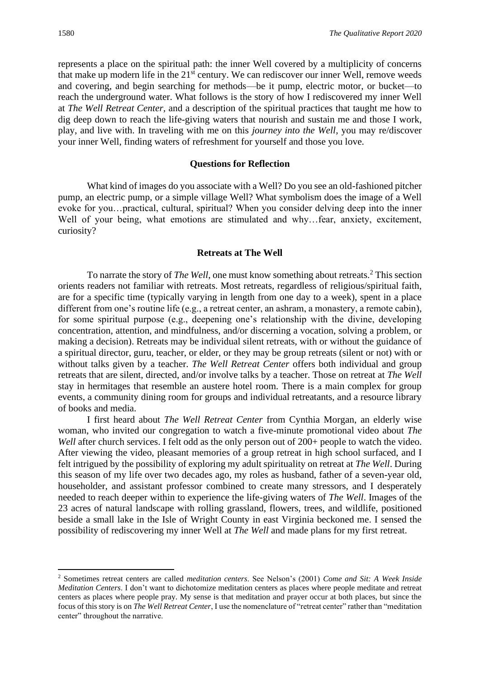represents a place on the spiritual path: the inner Well covered by a multiplicity of concerns that make up modern life in the  $21<sup>st</sup>$  century. We can rediscover our inner Well, remove weeds and covering, and begin searching for methods—be it pump, electric motor, or bucket—to reach the underground water. What follows is the story of how I rediscovered my inner Well at *The Well Retreat Center,* and a description of the spiritual practices that taught me how to dig deep down to reach the life-giving waters that nourish and sustain me and those I work, play, and live with. In traveling with me on this *journey into the Well*, you may re/discover your inner Well, finding waters of refreshment for yourself and those you love.

#### **Questions for Reflection**

What kind of images do you associate with a Well? Do you see an old-fashioned pitcher pump, an electric pump, or a simple village Well? What symbolism does the image of a Well evoke for you…practical, cultural, spiritual? When you consider delving deep into the inner Well of your being, what emotions are stimulated and why...fear, anxiety, excitement, curiosity?

#### **Retreats at The Well**

To narrate the story of *The Well*, one must know something about retreats.<sup>2</sup> This section orients readers not familiar with retreats. Most retreats, regardless of religious/spiritual faith, are for a specific time (typically varying in length from one day to a week), spent in a place different from one's routine life (e.g., a retreat center, an ashram, a monastery, a remote cabin), for some spiritual purpose (e.g., deepening one's relationship with the divine, developing concentration, attention, and mindfulness, and/or discerning a vocation, solving a problem, or making a decision). Retreats may be individual silent retreats, with or without the guidance of a spiritual director, guru, teacher, or elder, or they may be group retreats (silent or not) with or without talks given by a teacher. *The Well Retreat Center* offers both individual and group retreats that are silent, directed, and/or involve talks by a teacher. Those on retreat at *The Well* stay in hermitages that resemble an austere hotel room. There is a main complex for group events, a community dining room for groups and individual retreatants, and a resource library of books and media.

I first heard about *The Well Retreat Center* from Cynthia Morgan, an elderly wise woman, who invited our congregation to watch a five-minute promotional video about *The Well* after church services. I felt odd as the only person out of 200+ people to watch the video. After viewing the video, pleasant memories of a group retreat in high school surfaced, and I felt intrigued by the possibility of exploring my adult spirituality on retreat at *The Well*. During this season of my life over two decades ago, my roles as husband, father of a seven-year old, householder, and assistant professor combined to create many stressors, and I desperately needed to reach deeper within to experience the life-giving waters of *The Well*. Images of the 23 acres of natural landscape with rolling grassland, flowers, trees, and wildlife, positioned beside a small lake in the Isle of Wright County in east Virginia beckoned me. I sensed the possibility of rediscovering my inner Well at *The Well* and made plans for my first retreat.

<sup>2</sup> Sometimes retreat centers are called *meditation centers*. See Nelson's (2001) *Come and Sit: A Week Inside Meditation Centers*. I don't want to dichotomize meditation centers as places where people meditate and retreat centers as places where people pray. My sense is that meditation and prayer occur at both places, but since the focus of this story is on *The Well Retreat Center*, I use the nomenclature of "retreat center" rather than "meditation center" throughout the narrative.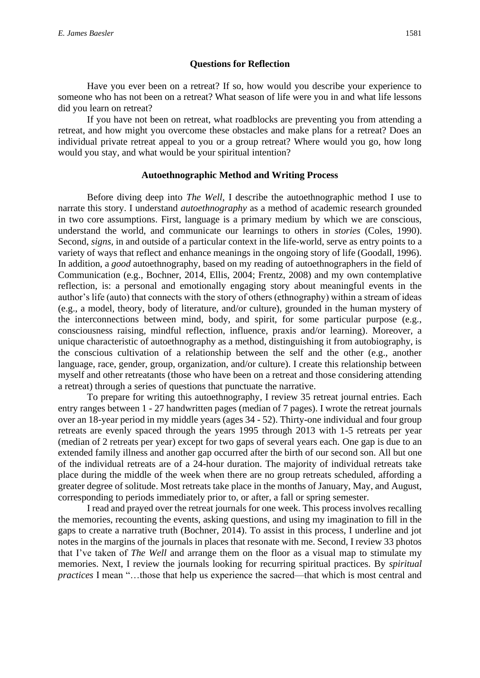#### **Questions for Reflection**

Have you ever been on a retreat? If so, how would you describe your experience to someone who has not been on a retreat? What season of life were you in and what life lessons did you learn on retreat?

If you have not been on retreat, what roadblocks are preventing you from attending a retreat, and how might you overcome these obstacles and make plans for a retreat? Does an individual private retreat appeal to you or a group retreat? Where would you go, how long would you stay, and what would be your spiritual intention?

#### **Autoethnographic Method and Writing Process**

Before diving deep into *The Well*, I describe the autoethnographic method I use to narrate this story. I understand *autoethnography* as a method of academic research grounded in two core assumptions. First, language is a primary medium by which we are conscious, understand the world, and communicate our learnings to others in *stories* (Coles, 1990). Second, *signs,* in and outside of a particular context in the life-world, serve as entry points to a variety of ways that reflect and enhance meanings in the ongoing story of life (Goodall, 1996). In addition, a *good* autoethnography, based on my reading of autoethnographers in the field of Communication (e.g., Bochner, 2014, Ellis, 2004; Frentz, 2008) and my own contemplative reflection, is: a personal and emotionally engaging story about meaningful events in the author's life (auto) that connects with the story of others (ethnography) within a stream of ideas (e.g., a model, theory, body of literature, and/or culture), grounded in the human mystery of the interconnections between mind, body, and spirit, for some particular purpose (e.g., consciousness raising, mindful reflection, influence, praxis and/or learning). Moreover, a unique characteristic of autoethnography as a method, distinguishing it from autobiography, is the conscious cultivation of a relationship between the self and the other (e.g., another language, race, gender, group, organization, and/or culture). I create this relationship between myself and other retreatants (those who have been on a retreat and those considering attending a retreat) through a series of questions that punctuate the narrative.

To prepare for writing this autoethnography*,* I review 35 retreat journal entries. Each entry ranges between 1 - 27 handwritten pages (median of 7 pages). I wrote the retreat journals over an 18-year period in my middle years (ages 34 - 52). Thirty-one individual and four group retreats are evenly spaced through the years 1995 through 2013 with 1-5 retreats per year (median of 2 retreats per year) except for two gaps of several years each. One gap is due to an extended family illness and another gap occurred after the birth of our second son. All but one of the individual retreats are of a 24-hour duration. The majority of individual retreats take place during the middle of the week when there are no group retreats scheduled, affording a greater degree of solitude. Most retreats take place in the months of January, May, and August, corresponding to periods immediately prior to, or after, a fall or spring semester.

I read and prayed over the retreat journals for one week. This process involves recalling the memories, recounting the events, asking questions, and using my imagination to fill in the gaps to create a narrative truth (Bochner, 2014). To assist in this process, I underline and jot notes in the margins of the journals in places that resonate with me. Second, I review 33 photos that I've taken of *The Well* and arrange them on the floor as a visual map to stimulate my memories. Next, I review the journals looking for recurring spiritual practices. By *spiritual practices* I mean "…those that help us experience the sacred—that which is most central and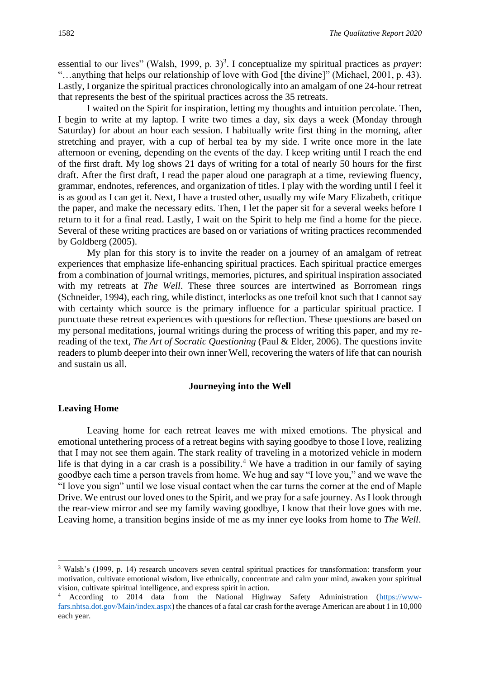essential to our lives" (Walsh, 1999, p. 3)<sup>3</sup>. I conceptualize my spiritual practices as *prayer*: "…anything that helps our relationship of love with God [the divine]" (Michael, 2001, p. 43). Lastly, I organize the spiritual practices chronologically into an amalgam of one 24-hour retreat that represents the best of the spiritual practices across the 35 retreats.

I waited on the Spirit for inspiration, letting my thoughts and intuition percolate. Then, I begin to write at my laptop. I write two times a day, six days a week (Monday through Saturday) for about an hour each session. I habitually write first thing in the morning, after stretching and prayer, with a cup of herbal tea by my side. I write once more in the late afternoon or evening, depending on the events of the day. I keep writing until I reach the end of the first draft. My log shows 21 days of writing for a total of nearly 50 hours for the first draft. After the first draft, I read the paper aloud one paragraph at a time, reviewing fluency, grammar, endnotes, references, and organization of titles. I play with the wording until I feel it is as good as I can get it. Next, I have a trusted other, usually my wife Mary Elizabeth, critique the paper, and make the necessary edits. Then, I let the paper sit for a several weeks before I return to it for a final read. Lastly, I wait on the Spirit to help me find a home for the piece. Several of these writing practices are based on or variations of writing practices recommended by Goldberg (2005).

My plan for this story is to invite the reader on a journey of an amalgam of retreat experiences that emphasize life-enhancing spiritual practices. Each spiritual practice emerges from a combination of journal writings, memories, pictures, and spiritual inspiration associated with my retreats at *The Well*. These three sources are intertwined as Borromean rings (Schneider, 1994), each ring, while distinct, interlocks as one trefoil knot such that I cannot say with certainty which source is the primary influence for a particular spiritual practice. I punctuate these retreat experiences with questions for reflection. These questions are based on my personal meditations, journal writings during the process of writing this paper, and my rereading of the text, *The Art of Socratic Questioning* (Paul & Elder, 2006). The questions invite readers to plumb deeper into their own inner Well, recovering the waters of life that can nourish and sustain us all.

#### **Journeying into the Well**

#### **Leaving Home**

Leaving home for each retreat leaves me with mixed emotions. The physical and emotional untethering process of a retreat begins with saying goodbye to those I love, realizing that I may not see them again. The stark reality of traveling in a motorized vehicle in modern life is that dying in a car crash is a possibility.<sup>4</sup> We have a tradition in our family of saying goodbye each time a person travels from home. We hug and say "I love you," and we wave the "I love you sign" until we lose visual contact when the car turns the corner at the end of Maple Drive. We entrust our loved ones to the Spirit, and we pray for a safe journey. As I look through the rear-view mirror and see my family waving goodbye, I know that their love goes with me. Leaving home, a transition begins inside of me as my inner eye looks from home to *The Well*.

<sup>3</sup> Walsh's (1999, p. 14) research uncovers seven central spiritual practices for transformation: transform your motivation, cultivate emotional wisdom, live ethnically, concentrate and calm your mind, awaken your spiritual vision, cultivate spiritual intelligence, and express spirit in action.

<sup>4</sup> According to 2014 data from the National Highway Safety Administration [\(https://www](https://www-fars.nhtsa.dot.gov/Main/index.aspx)[fars.nhtsa.dot.gov/Main/index.aspx\)](https://www-fars.nhtsa.dot.gov/Main/index.aspx) the chances of a fatal car crash for the average American are about 1 in 10,000 each year.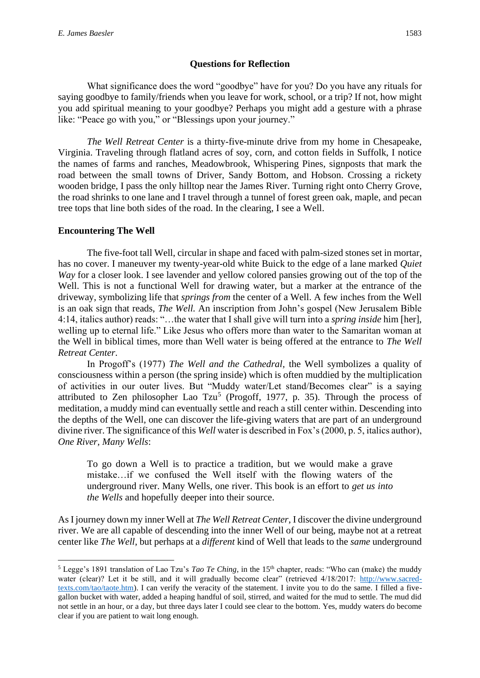#### **Questions for Reflection**

What significance does the word "goodbye" have for you? Do you have any rituals for saying goodbye to family/friends when you leave for work, school, or a trip? If not, how might you add spiritual meaning to your goodbye? Perhaps you might add a gesture with a phrase like: "Peace go with you," or "Blessings upon your journey."

*The Well Retreat Center* is a thirty-five-minute drive from my home in Chesapeake, Virginia. Traveling through flatland acres of soy, corn, and cotton fields in Suffolk, I notice the names of farms and ranches, Meadowbrook, Whispering Pines, signposts that mark the road between the small towns of Driver, Sandy Bottom, and Hobson. Crossing a rickety wooden bridge, I pass the only hilltop near the James River. Turning right onto Cherry Grove, the road shrinks to one lane and I travel through a tunnel of forest green oak, maple, and pecan tree tops that line both sides of the road. In the clearing, I see a Well.

### **Encountering The Well**

The five-foot tall Well, circular in shape and faced with palm-sized stones set in mortar, has no cover. I maneuver my twenty-year-old white Buick to the edge of a lane marked *Quiet Way* for a closer look. I see lavender and yellow colored pansies growing out of the top of the Well. This is not a functional Well for drawing water, but a marker at the entrance of the driveway, symbolizing life that *springs from* the center of a Well. A few inches from the Well is an oak sign that reads, *The Well.* An inscription from John's gospel (New Jerusalem Bible 4:14, italics author) reads: "…the water that I shall give will turn into a *spring inside* him [her], welling up to eternal life." Like Jesus who offers more than water to the Samaritan woman at the Well in biblical times, more than Well water is being offered at the entrance to *The Well Retreat Center*.

In Progoff's (1977) *The Well and the Cathedral,* the Well symbolizes a quality of consciousness within a person (the spring inside) which is often muddied by the multiplication of activities in our outer lives. But "Muddy water/Let stand/Becomes clear" is a saying attributed to Zen philosopher Lao Tzu<sup>5</sup> (Progoff, 1977, p. 35). Through the process of meditation, a muddy mind can eventually settle and reach a still center within. Descending into the depths of the Well, one can discover the life-giving waters that are part of an underground divine river. The significance of this *Well* water is described in Fox's (2000, p. 5, italics author), *One River, Many Wells*:

To go down a Well is to practice a tradition, but we would make a grave mistake…if we confused the Well itself with the flowing waters of the underground river. Many Wells, one river. This book is an effort to *get us into the Wells* and hopefully deeper into their source.

As I journey down my inner Well at *The Well Retreat Center*, I discover the divine underground river. We are all capable of descending into the inner Well of our being, maybe not at a retreat center like *The Well*, but perhaps at a *different* kind of Well that leads to the *same* underground

<sup>&</sup>lt;sup>5</sup> Legge's 1891 translation of Lao Tzu's *Tao Te Ching*, in the 15<sup>th</sup> chapter, reads: "Who can (make) the muddy water (clear)? Let it be still, and it will gradually become clear" (retrieved 4/18/2017: [http://www.sacred](http://www.sacred-texts.com/tao/taote.htm)[texts.com/tao/taote.htm\)](http://www.sacred-texts.com/tao/taote.htm). I can verify the veracity of the statement. I invite you to do the same. I filled a fivegallon bucket with water, added a heaping handful of soil, stirred, and waited for the mud to settle. The mud did not settle in an hour, or a day, but three days later I could see clear to the bottom. Yes, muddy waters do become clear if you are patient to wait long enough.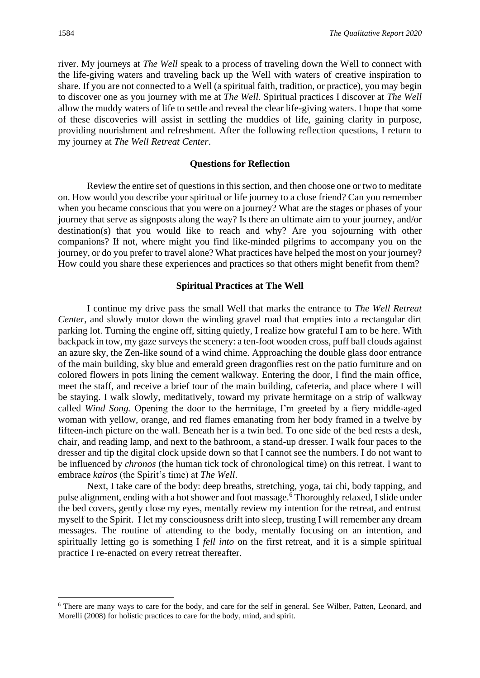river. My journeys at *The Well* speak to a process of traveling down the Well to connect with the life-giving waters and traveling back up the Well with waters of creative inspiration to share. If you are not connected to a Well (a spiritual faith, tradition, or practice), you may begin to discover one as you journey with me at *The Well*. Spiritual practices I discover at *The Well* allow the muddy waters of life to settle and reveal the clear life-giving waters. I hope that some of these discoveries will assist in settling the muddies of life, gaining clarity in purpose, providing nourishment and refreshment. After the following reflection questions, I return to my journey at *The Well Retreat Center*.

#### **Questions for Reflection**

Review the entire set of questions in this section, and then choose one or two to meditate on. How would you describe your spiritual or life journey to a close friend? Can you remember when you became conscious that you were on a journey? What are the stages or phases of your journey that serve as signposts along the way? Is there an ultimate aim to your journey, and/or destination(s) that you would like to reach and why? Are you sojourning with other companions? If not, where might you find like-minded pilgrims to accompany you on the journey, or do you prefer to travel alone? What practices have helped the most on your journey? How could you share these experiences and practices so that others might benefit from them?

#### **Spiritual Practices at The Well**

I continue my drive pass the small Well that marks the entrance to *The Well Retreat Center*, and slowly motor down the winding gravel road that empties into a rectangular dirt parking lot. Turning the engine off, sitting quietly, I realize how grateful I am to be here. With backpack in tow, my gaze surveys the scenery: a ten-foot wooden cross, puff ball clouds against an azure sky, the Zen-like sound of a wind chime. Approaching the double glass door entrance of the main building, sky blue and emerald green dragonflies rest on the patio furniture and on colored flowers in pots lining the cement walkway. Entering the door, I find the main office, meet the staff, and receive a brief tour of the main building, cafeteria, and place where I will be staying. I walk slowly, meditatively, toward my private hermitage on a strip of walkway called *Wind Song.* Opening the door to the hermitage, I'm greeted by a fiery middle-aged woman with yellow, orange, and red flames emanating from her body framed in a twelve by fifteen-inch picture on the wall. Beneath her is a twin bed. To one side of the bed rests a desk, chair, and reading lamp, and next to the bathroom, a stand-up dresser. I walk four paces to the dresser and tip the digital clock upside down so that I cannot see the numbers. I do not want to be influenced by *chronos* (the human tick tock of chronological time) on this retreat. I want to embrace *kairos* (the Spirit's time) at *The Well*.

Next, I take care of the body: deep breaths, stretching, yoga, tai chi, body tapping, and pulse alignment, ending with a hot shower and foot massage.<sup>6</sup> Thoroughly relaxed, I slide under the bed covers, gently close my eyes, mentally review my intention for the retreat, and entrust myself to the Spirit. I let my consciousness drift into sleep, trusting I will remember any dream messages. The routine of attending to the body, mentally focusing on an intention, and spiritually letting go is something I *fell into* on the first retreat, and it is a simple spiritual practice I re-enacted on every retreat thereafter.

<sup>6</sup> There are many ways to care for the body, and care for the self in general. See Wilber, Patten, Leonard, and Morelli (2008) for holistic practices to care for the body, mind, and spirit.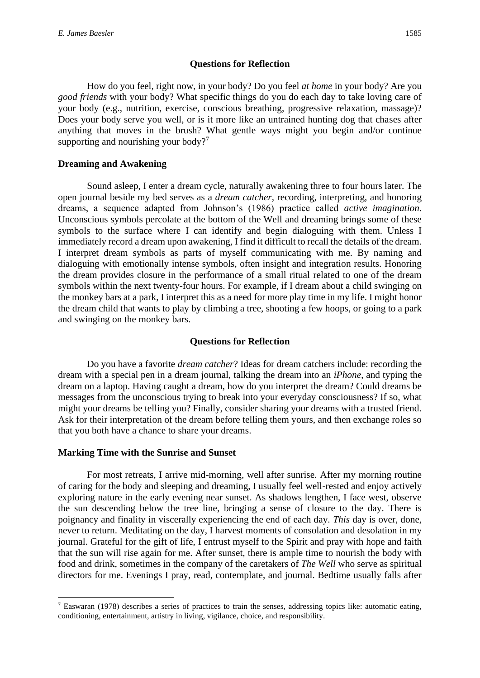#### **Questions for Reflection**

How do you feel, right now, in your body? Do you feel *at home* in your body? Are you *good friends* with your body? What specific things do you do each day to take loving care of your body (e.g., nutrition, exercise, conscious breathing, progressive relaxation, massage)? Does your body serve you well, or is it more like an untrained hunting dog that chases after anything that moves in the brush? What gentle ways might you begin and/or continue supporting and nourishing your body?<sup>7</sup>

#### **Dreaming and Awakening**

Sound asleep, I enter a dream cycle, naturally awakening three to four hours later. The open journal beside my bed serves as a *dream catcher,* recording, interpreting, and honoring dreams, a sequence adapted from Johnson's (1986) practice called *active imagination*. Unconscious symbols percolate at the bottom of the Well and dreaming brings some of these symbols to the surface where I can identify and begin dialoguing with them. Unless I immediately record a dream upon awakening, I find it difficult to recall the details of the dream. I interpret dream symbols as parts of myself communicating with me. By naming and dialoguing with emotionally intense symbols, often insight and integration results. Honoring the dream provides closure in the performance of a small ritual related to one of the dream symbols within the next twenty-four hours. For example, if I dream about a child swinging on the monkey bars at a park, I interpret this as a need for more play time in my life. I might honor the dream child that wants to play by climbing a tree, shooting a few hoops, or going to a park and swinging on the monkey bars.

#### **Questions for Reflection**

Do you have a favorite *dream catcher*? Ideas for dream catchers include: recording the dream with a special pen in a dream journal, talking the dream into an *iPhone*, and typing the dream on a laptop. Having caught a dream, how do you interpret the dream? Could dreams be messages from the unconscious trying to break into your everyday consciousness? If so, what might your dreams be telling you? Finally, consider sharing your dreams with a trusted friend. Ask for their interpretation of the dream before telling them yours, and then exchange roles so that you both have a chance to share your dreams.

# **Marking Time with the Sunrise and Sunset**

For most retreats, I arrive mid-morning, well after sunrise. After my morning routine of caring for the body and sleeping and dreaming, I usually feel well-rested and enjoy actively exploring nature in the early evening near sunset. As shadows lengthen, I face west, observe the sun descending below the tree line, bringing a sense of closure to the day. There is poignancy and finality in viscerally experiencing the end of each day. *This* day is over, done, never to return. Meditating on the day, I harvest moments of consolation and desolation in my journal. Grateful for the gift of life, I entrust myself to the Spirit and pray with hope and faith that the sun will rise again for me. After sunset, there is ample time to nourish the body with food and drink, sometimes in the company of the caretakers of *The Well* who serve as spiritual directors for me. Evenings I pray, read, contemplate, and journal. Bedtime usually falls after

<sup>7</sup> Easwaran (1978) describes a series of practices to train the senses, addressing topics like: automatic eating, conditioning, entertainment, artistry in living, vigilance, choice, and responsibility.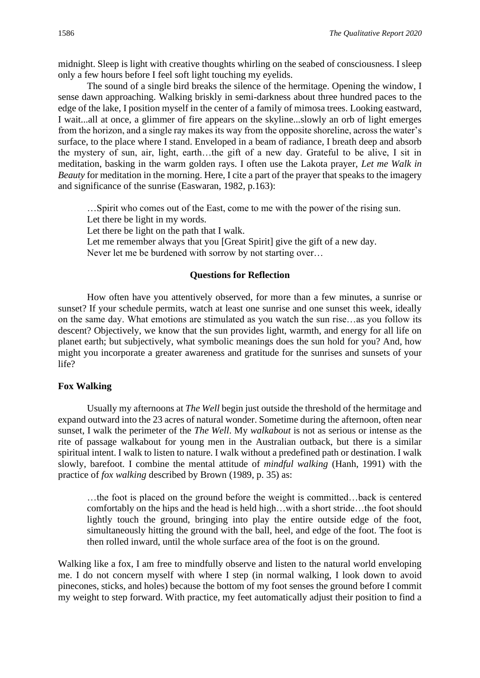midnight. Sleep is light with creative thoughts whirling on the seabed of consciousness. I sleep only a few hours before I feel soft light touching my eyelids.

The sound of a single bird breaks the silence of the hermitage. Opening the window, I sense dawn approaching. Walking briskly in semi-darkness about three hundred paces to the edge of the lake, I position myself in the center of a family of mimosa trees. Looking eastward, I wait...all at once, a glimmer of fire appears on the skyline...slowly an orb of light emerges from the horizon, and a single ray makes its way from the opposite shoreline, across the water's surface, to the place where I stand. Enveloped in a beam of radiance, I breath deep and absorb the mystery of sun, air, light, earth…the gift of a new day. Grateful to be alive, I sit in meditation, basking in the warm golden rays. I often use the Lakota prayer, *Let me Walk in Beauty* for meditation in the morning. Here, I cite a part of the prayer that speaks to the imagery and significance of the sunrise (Easwaran, 1982, p.163):

…Spirit who comes out of the East, come to me with the power of the rising sun. Let there be light in my words.

Let there be light on the path that I walk.

Let me remember always that you [Great Spirit] give the gift of a new day.

Never let me be burdened with sorrow by not starting over…

#### **Questions for Reflection**

How often have you attentively observed, for more than a few minutes, a sunrise or sunset? If your schedule permits, watch at least one sunrise and one sunset this week, ideally on the same day. What emotions are stimulated as you watch the sun rise…as you follow its descent? Objectively, we know that the sun provides light, warmth, and energy for all life on planet earth; but subjectively, what symbolic meanings does the sun hold for you? And, how might you incorporate a greater awareness and gratitude for the sunrises and sunsets of your life?

#### **Fox Walking**

Usually my afternoons at *The Well* begin just outside the threshold of the hermitage and expand outward into the 23 acres of natural wonder. Sometime during the afternoon, often near sunset, I walk the perimeter of the *The Well*. My *walkabout* is not as serious or intense as the rite of passage walkabout for young men in the Australian outback, but there is a similar spiritual intent. I walk to listen to nature. I walk without a predefined path or destination. I walk slowly, barefoot. I combine the mental attitude of *mindful walking* (Hanh, 1991) with the practice of *fox walking* described by Brown (1989, p. 35) as:

…the foot is placed on the ground before the weight is committed…back is centered comfortably on the hips and the head is held high…with a short stride…the foot should lightly touch the ground, bringing into play the entire outside edge of the foot, simultaneously hitting the ground with the ball, heel, and edge of the foot. The foot is then rolled inward, until the whole surface area of the foot is on the ground.

Walking like a fox, I am free to mindfully observe and listen to the natural world enveloping me. I do not concern myself with where I step (in normal walking, I look down to avoid pinecones, sticks, and holes) because the bottom of my foot senses the ground before I commit my weight to step forward. With practice, my feet automatically adjust their position to find a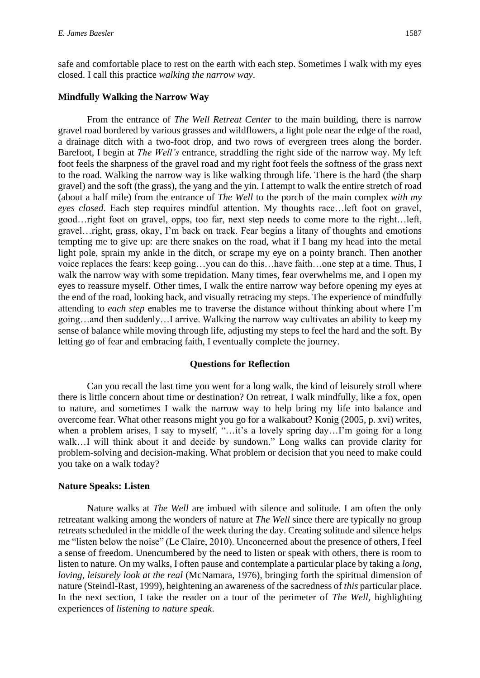safe and comfortable place to rest on the earth with each step. Sometimes I walk with my eyes closed. I call this practice *walking the narrow way*.

#### **Mindfully Walking the Narrow Way**

From the entrance of *The Well Retreat Center* to the main building, there is narrow gravel road bordered by various grasses and wildflowers, a light pole near the edge of the road, a drainage ditch with a two-foot drop, and two rows of evergreen trees along the border. Barefoot, I begin at *The Well's* entrance, straddling the right side of the narrow way. My left foot feels the sharpness of the gravel road and my right foot feels the softness of the grass next to the road. Walking the narrow way is like walking through life. There is the hard (the sharp gravel) and the soft (the grass), the yang and the yin. I attempt to walk the entire stretch of road (about a half mile) from the entrance of *The Well* to the porch of the main complex *with my eyes closed*. Each step requires mindful attention. My thoughts race…left foot on gravel, good…right foot on gravel, opps, too far, next step needs to come more to the right…left, gravel…right, grass, okay, I'm back on track. Fear begins a litany of thoughts and emotions tempting me to give up: are there snakes on the road, what if I bang my head into the metal light pole, sprain my ankle in the ditch, or scrape my eye on a pointy branch. Then another voice replaces the fears: keep going…you can do this…have faith…one step at a time. Thus, I walk the narrow way with some trepidation. Many times, fear overwhelms me, and I open my eyes to reassure myself. Other times, I walk the entire narrow way before opening my eyes at the end of the road, looking back, and visually retracing my steps. The experience of mindfully attending to *each step* enables me to traverse the distance without thinking about where I'm going…and then suddenly…I arrive. Walking the narrow way cultivates an ability to keep my sense of balance while moving through life, adjusting my steps to feel the hard and the soft. By letting go of fear and embracing faith, I eventually complete the journey.

#### **Questions for Reflection**

Can you recall the last time you went for a long walk, the kind of leisurely stroll where there is little concern about time or destination? On retreat, I walk mindfully, like a fox, open to nature, and sometimes I walk the narrow way to help bring my life into balance and overcome fear. What other reasons might you go for a walkabout? Konig (2005, p. xvi) writes, when a problem arises, I say to myself, "...it's a lovely spring day...I'm going for a long walk…I will think about it and decide by sundown." Long walks can provide clarity for problem-solving and decision-making. What problem or decision that you need to make could you take on a walk today?

#### **Nature Speaks: Listen**

Nature walks at *The Well* are imbued with silence and solitude. I am often the only retreatant walking among the wonders of nature at *The Well* since there are typically no group retreats scheduled in the middle of the week during the day. Creating solitude and silence helps me "listen below the noise" (Le Claire, 2010). Unconcerned about the presence of others, I feel a sense of freedom. Unencumbered by the need to listen or speak with others, there is room to listen to nature. On my walks, I often pause and contemplate a particular place by taking a *long, loving, leisurely look at the real* (McNamara, 1976), bringing forth the spiritual dimension of nature (Steindl-Rast, 1999), heightening an awareness of the sacredness of *this* particular place. In the next section, I take the reader on a tour of the perimeter of *The Well,* highlighting experiences of *listening to nature speak*.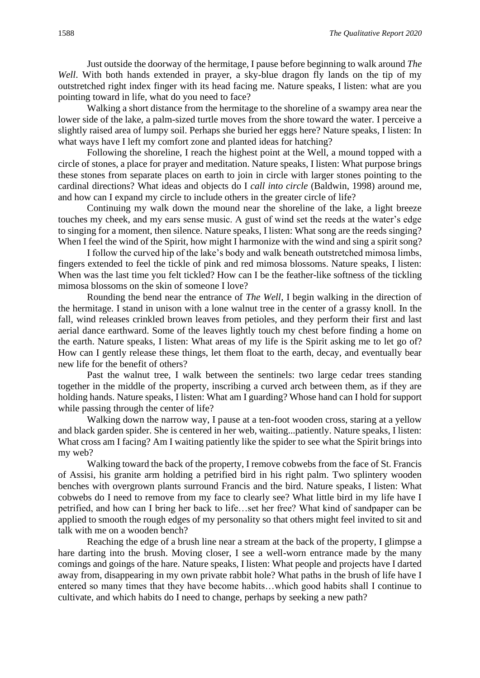Just outside the doorway of the hermitage, I pause before beginning to walk around *The Well*. With both hands extended in prayer, a sky-blue dragon fly lands on the tip of my outstretched right index finger with its head facing me. Nature speaks, I listen: what are you pointing toward in life, what do you need to face?

Walking a short distance from the hermitage to the shoreline of a swampy area near the lower side of the lake, a palm-sized turtle moves from the shore toward the water. I perceive a slightly raised area of lumpy soil. Perhaps she buried her eggs here? Nature speaks, I listen: In what ways have I left my comfort zone and planted ideas for hatching?

Following the shoreline, I reach the highest point at the Well, a mound topped with a circle of stones, a place for prayer and meditation. Nature speaks, I listen: What purpose brings these stones from separate places on earth to join in circle with larger stones pointing to the cardinal directions? What ideas and objects do I *call into circle* (Baldwin, 1998) around me, and how can I expand my circle to include others in the greater circle of life?

Continuing my walk down the mound near the shoreline of the lake, a light breeze touches my cheek, and my ears sense music. A gust of wind set the reeds at the water's edge to singing for a moment, then silence. Nature speaks, I listen: What song are the reeds singing? When I feel the wind of the Spirit, how might I harmonize with the wind and sing a spirit song?

I follow the curved hip of the lake's body and walk beneath outstretched mimosa limbs, fingers extended to feel the tickle of pink and red mimosa blossoms. Nature speaks, I listen: When was the last time you felt tickled? How can I be the feather-like softness of the tickling mimosa blossoms on the skin of someone I love?

Rounding the bend near the entrance of *The Well*, I begin walking in the direction of the hermitage. I stand in unison with a lone walnut tree in the center of a grassy knoll. In the fall, wind releases crinkled brown leaves from petioles, and they perform their first and last aerial dance earthward. Some of the leaves lightly touch my chest before finding a home on the earth. Nature speaks, I listen: What areas of my life is the Spirit asking me to let go of? How can I gently release these things, let them float to the earth, decay, and eventually bear new life for the benefit of others?

Past the walnut tree, I walk between the sentinels: two large cedar trees standing together in the middle of the property, inscribing a curved arch between them, as if they are holding hands. Nature speaks, I listen: What am I guarding? Whose hand can I hold for support while passing through the center of life?

Walking down the narrow way, I pause at a ten-foot wooden cross, staring at a yellow and black garden spider. She is centered in her web, waiting...patiently. Nature speaks, I listen: What cross am I facing? Am I waiting patiently like the spider to see what the Spirit brings into my web?

Walking toward the back of the property, I remove cobwebs from the face of St. Francis of Assisi, his granite arm holding a petrified bird in his right palm. Two splintery wooden benches with overgrown plants surround Francis and the bird. Nature speaks, I listen: What cobwebs do I need to remove from my face to clearly see? What little bird in my life have I petrified, and how can I bring her back to life…set her free? What kind of sandpaper can be applied to smooth the rough edges of my personality so that others might feel invited to sit and talk with me on a wooden bench?

Reaching the edge of a brush line near a stream at the back of the property, I glimpse a hare darting into the brush. Moving closer, I see a well-worn entrance made by the many comings and goings of the hare. Nature speaks, I listen: What people and projects have I darted away from, disappearing in my own private rabbit hole? What paths in the brush of life have I entered so many times that they have become habits…which good habits shall I continue to cultivate, and which habits do I need to change, perhaps by seeking a new path?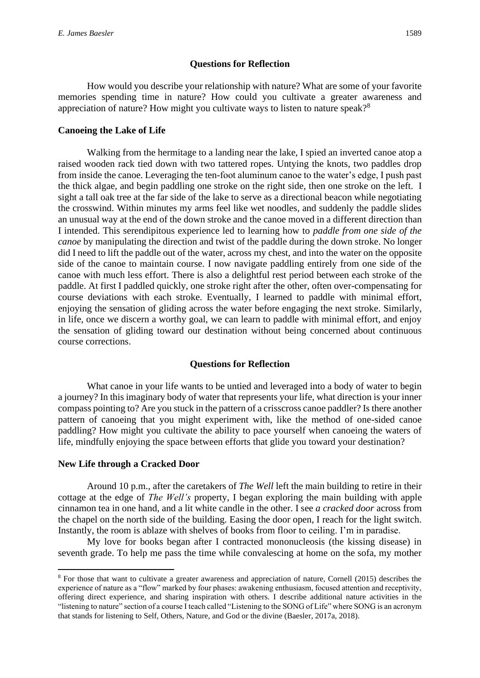#### **Questions for Reflection**

How would you describe your relationship with nature? What are some of your favorite memories spending time in nature? How could you cultivate a greater awareness and appreciation of nature? How might you cultivate ways to listen to nature speak?<sup>8</sup>

#### **Canoeing the Lake of Life**

Walking from the hermitage to a landing near the lake, I spied an inverted canoe atop a raised wooden rack tied down with two tattered ropes. Untying the knots, two paddles drop from inside the canoe. Leveraging the ten-foot aluminum canoe to the water's edge, I push past the thick algae, and begin paddling one stroke on the right side, then one stroke on the left. I sight a tall oak tree at the far side of the lake to serve as a directional beacon while negotiating the crosswind. Within minutes my arms feel like wet noodles, and suddenly the paddle slides an unusual way at the end of the down stroke and the canoe moved in a different direction than I intended. This serendipitous experience led to learning how to *paddle from one side of the canoe* by manipulating the direction and twist of the paddle during the down stroke. No longer did I need to lift the paddle out of the water, across my chest, and into the water on the opposite side of the canoe to maintain course. I now navigate paddling entirely from one side of the canoe with much less effort. There is also a delightful rest period between each stroke of the paddle. At first I paddled quickly, one stroke right after the other, often over-compensating for course deviations with each stroke. Eventually, I learned to paddle with minimal effort, enjoying the sensation of gliding across the water before engaging the next stroke. Similarly, in life, once we discern a worthy goal, we can learn to paddle with minimal effort, and enjoy the sensation of gliding toward our destination without being concerned about continuous course corrections.

#### **Questions for Reflection**

What canoe in your life wants to be untied and leveraged into a body of water to begin a journey? In this imaginary body of water that represents your life, what direction is your inner compass pointing to? Are you stuck in the pattern of a crisscross canoe paddler? Is there another pattern of canoeing that you might experiment with, like the method of one-sided canoe paddling? How might you cultivate the ability to pace yourself when canoeing the waters of life, mindfully enjoying the space between efforts that glide you toward your destination?

#### **New Life through a Cracked Door**

Around 10 p.m., after the caretakers of *The Well* left the main building to retire in their cottage at the edge of *The Well's* property, I began exploring the main building with apple cinnamon tea in one hand, and a lit white candle in the other. I see *a cracked door* across from the chapel on the north side of the building. Easing the door open, I reach for the light switch. Instantly, the room is ablaze with shelves of books from floor to ceiling. I'm in paradise.

My love for books began after I contracted mononucleosis (the kissing disease) in seventh grade. To help me pass the time while convalescing at home on the sofa, my mother

<sup>8</sup> For those that want to cultivate a greater awareness and appreciation of nature, Cornell (2015) describes the experience of nature as a "flow" marked by four phases: awakening enthusiasm, focused attention and receptivity, offering direct experience, and sharing inspiration with others. I describe additional nature activities in the "listening to nature" section of a course I teach called "Listening to the SONG of Life" where SONG is an acronym that stands for listening to Self, Others, Nature, and God or the divine (Baesler, 2017a, 2018).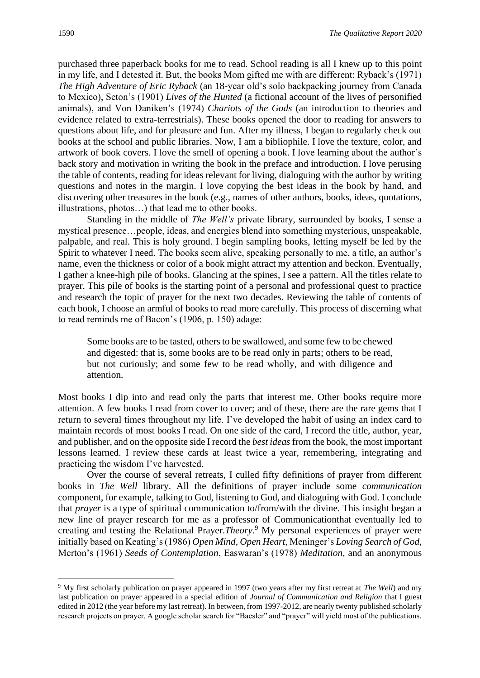purchased three paperback books for me to read. School reading is all I knew up to this point in my life, and I detested it. But, the books Mom gifted me with are different: Ryback's (1971) *The High Adventure of Eric Ryback* (an 18-year old's solo backpacking journey from Canada to Mexico), Seton's (1901) *Lives of the Hunted* (a fictional account of the lives of personified animals), and Von Daniken's (1974) *Chariots of the Gods* (an introduction to theories and evidence related to extra-terrestrials). These books opened the door to reading for answers to questions about life, and for pleasure and fun. After my illness, I began to regularly check out books at the school and public libraries. Now, I am a bibliophile. I love the texture, color, and artwork of book covers. I love the smell of opening a book. I love learning about the author's back story and motivation in writing the book in the preface and introduction. I love perusing the table of contents, reading for ideas relevant for living, dialoguing with the author by writing questions and notes in the margin. I love copying the best ideas in the book by hand, and discovering other treasures in the book (e.g., names of other authors, books, ideas, quotations, illustrations, photos…) that lead me to other books.

Standing in the middle of *The Well's* private library, surrounded by books, I sense a mystical presence…people, ideas, and energies blend into something mysterious, unspeakable, palpable, and real. This is holy ground. I begin sampling books, letting myself be led by the Spirit to whatever I need. The books seem alive, speaking personally to me, a title, an author's name, even the thickness or color of a book might attract my attention and beckon. Eventually, I gather a knee-high pile of books. Glancing at the spines, I see a pattern. All the titles relate to prayer. This pile of books is the starting point of a personal and professional quest to practice and research the topic of prayer for the next two decades. Reviewing the table of contents of each book, I choose an armful of books to read more carefully. This process of discerning what to read reminds me of Bacon's (1906, p. 150) adage:

Some books are to be tasted, others to be swallowed, and some few to be chewed and digested: that is, some books are to be read only in parts; others to be read, but not curiously; and some few to be read wholly, and with diligence and attention.

Most books I dip into and read only the parts that interest me. Other books require more attention. A few books I read from cover to cover; and of these, there are the rare gems that I return to several times throughout my life. I've developed the habit of using an index card to maintain records of most books I read. On one side of the card, I record the title, author, year, and publisher, and on the opposite side I record the *best ideas*from the book, the most important lessons learned. I review these cards at least twice a year, remembering, integrating and practicing the wisdom I've harvested.

Over the course of several retreats, I culled fifty definitions of prayer from different books in *The Well* library. All the definitions of prayer include some *communication* component, for example, talking to God, listening to God, and dialoguing with God. I conclude that *prayer* is a type of spiritual communication to/from/with the divine. This insight began a new line of prayer research for me as a professor of Communicationthat eventually led to creating and testing the Relational Prayer.*Theory*. <sup>9</sup> My personal experiences of prayer were initially based on Keating's (1986) *Open Mind, Open Heart*, Meninger's *Loving Search of God*, Merton's (1961) *Seeds of Contemplation*, Easwaran's (1978) *Meditation*, and an anonymous

<sup>9</sup> My first scholarly publication on prayer appeared in 1997 (two years after my first retreat at *The Well*) and my last publication on prayer appeared in a special edition of *Journal of Communication and Religion* that I guest edited in 2012 (the year before my last retreat). In between, from 1997-2012, are nearly twenty published scholarly research projects on prayer. A google scholar search for "Baesler" and "prayer" will yield most of the publications.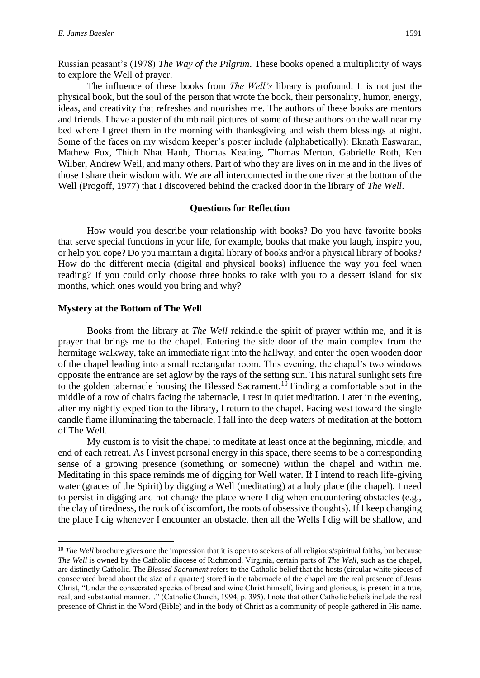Russian peasant's (1978) *The Way of the Pilgrim*. These books opened a multiplicity of ways to explore the Well of prayer.

The influence of these books from *The Well's* library is profound. It is not just the physical book, but the soul of the person that wrote the book, their personality, humor, energy, ideas, and creativity that refreshes and nourishes me. The authors of these books are mentors and friends. I have a poster of thumb nail pictures of some of these authors on the wall near my bed where I greet them in the morning with thanksgiving and wish them blessings at night. Some of the faces on my wisdom keeper's poster include (alphabetically): Eknath Easwaran, Mathew Fox, Thich Nhat Hanh, Thomas Keating, Thomas Merton, Gabrielle Roth, Ken Wilber, Andrew Weil, and many others. Part of who they are lives on in me and in the lives of those I share their wisdom with. We are all interconnected in the one river at the bottom of the Well (Progoff, 1977) that I discovered behind the cracked door in the library of *The Well*.

#### **Questions for Reflection**

How would you describe your relationship with books? Do you have favorite books that serve special functions in your life, for example, books that make you laugh, inspire you, or help you cope? Do you maintain a digital library of books and/or a physical library of books? How do the different media (digital and physical books) influence the way you feel when reading? If you could only choose three books to take with you to a dessert island for six months, which ones would you bring and why?

#### **Mystery at the Bottom of The Well**

Books from the library at *The Well* rekindle the spirit of prayer within me, and it is prayer that brings me to the chapel. Entering the side door of the main complex from the hermitage walkway, take an immediate right into the hallway, and enter the open wooden door of the chapel leading into a small rectangular room. This evening, the chapel's two windows opposite the entrance are set aglow by the rays of the setting sun. This natural sunlight sets fire to the golden tabernacle housing the Blessed Sacrament.<sup>10</sup> Finding a comfortable spot in the middle of a row of chairs facing the tabernacle, I rest in quiet meditation. Later in the evening, after my nightly expedition to the library, I return to the chapel. Facing west toward the single candle flame illuminating the tabernacle, I fall into the deep waters of meditation at the bottom of The Well.

My custom is to visit the chapel to meditate at least once at the beginning, middle, and end of each retreat. As I invest personal energy in this space, there seems to be a corresponding sense of a growing presence (something or someone) within the chapel and within me. Meditating in this space reminds me of digging for Well water. If I intend to reach life-giving water (graces of the Spirit) by digging a Well (meditating) at a holy place (the chapel), I need to persist in digging and not change the place where I dig when encountering obstacles (e.g., the clay of tiredness, the rock of discomfort, the roots of obsessive thoughts). If I keep changing the place I dig whenever I encounter an obstacle, then all the Wells I dig will be shallow, and

<sup>&</sup>lt;sup>10</sup> *The Well* brochure gives one the impression that it is open to seekers of all religious/spiritual faiths, but because *The Well* is owned by the Catholic diocese of Richmond, Virginia, certain parts of *The Well*, such as the chapel, are distinctly Catholic. The *Blessed Sacrament* refers to the Catholic belief that the hosts (circular white pieces of consecrated bread about the size of a quarter) stored in the tabernacle of the chapel are the real presence of Jesus Christ, "Under the consecrated species of bread and wine Christ himself, living and glorious, is present in a true, real, and substantial manner…" (Catholic Church, 1994, p. 395). I note that other Catholic beliefs include the real presence of Christ in the Word (Bible) and in the body of Christ as a community of people gathered in His name.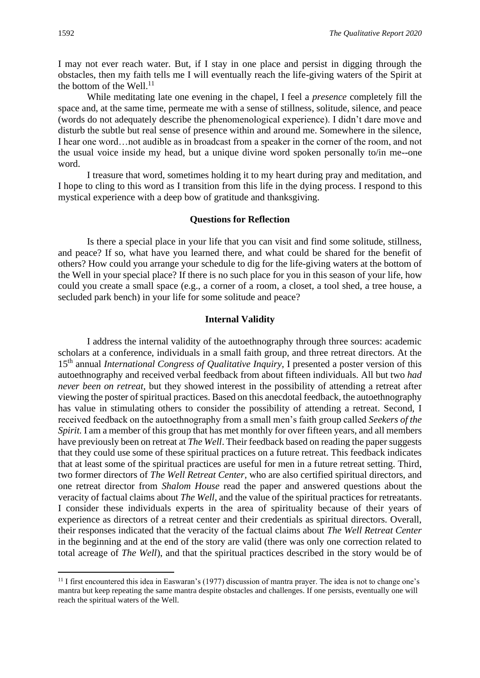I may not ever reach water. But, if I stay in one place and persist in digging through the obstacles, then my faith tells me I will eventually reach the life-giving waters of the Spirit at the bottom of the Well. $^{11}$ 

While meditating late one evening in the chapel, I feel a *presence* completely fill the space and, at the same time, permeate me with a sense of stillness, solitude, silence, and peace (words do not adequately describe the phenomenological experience). I didn't dare move and disturb the subtle but real sense of presence within and around me. Somewhere in the silence, I hear one word…not audible as in broadcast from a speaker in the corner of the room, and not the usual voice inside my head, but a unique divine word spoken personally to/in me--one word.

I treasure that word, sometimes holding it to my heart during pray and meditation, and I hope to cling to this word as I transition from this life in the dying process. I respond to this mystical experience with a deep bow of gratitude and thanksgiving.

#### **Questions for Reflection**

Is there a special place in your life that you can visit and find some solitude, stillness, and peace? If so, what have you learned there, and what could be shared for the benefit of others? How could you arrange your schedule to dig for the life-giving waters at the bottom of the Well in your special place? If there is no such place for you in this season of your life, how could you create a small space (e.g., a corner of a room, a closet, a tool shed, a tree house, a secluded park bench) in your life for some solitude and peace?

#### **Internal Validity**

I address the internal validity of the autoethnography through three sources: academic scholars at a conference, individuals in a small faith group, and three retreat directors. At the 15th annual *International Congress of Qualitative Inquiry*, I presented a poster version of this autoethnography and received verbal feedback from about fifteen individuals. All but two *had never been on retreat,* but they showed interest in the possibility of attending a retreat after viewing the poster of spiritual practices. Based on this anecdotal feedback, the autoethnography has value in stimulating others to consider the possibility of attending a retreat. Second, I received feedback on the autoethnography from a small men's faith group called *Seekers of the Spirit.* I am a member of this group that has met monthly for over fifteen years, and all members have previously been on retreat at *The Well*. Their feedback based on reading the paper suggests that they could use some of these spiritual practices on a future retreat. This feedback indicates that at least some of the spiritual practices are useful for men in a future retreat setting. Third, two former directors of *The Well Retreat Center*, who are also certified spiritual directors, and one retreat director from *Shalom House* read the paper and answered questions about the veracity of factual claims about *The Well*, and the value of the spiritual practices for retreatants. I consider these individuals experts in the area of spirituality because of their years of experience as directors of a retreat center and their credentials as spiritual directors. Overall, their responses indicated that the veracity of the factual claims about *The Well Retreat Center* in the beginning and at the end of the story are valid (there was only one correction related to total acreage of *The Well*), and that the spiritual practices described in the story would be of

<sup>&</sup>lt;sup>11</sup> I first encountered this idea in Easwaran's (1977) discussion of mantra prayer. The idea is not to change one's mantra but keep repeating the same mantra despite obstacles and challenges. If one persists, eventually one will reach the spiritual waters of the Well.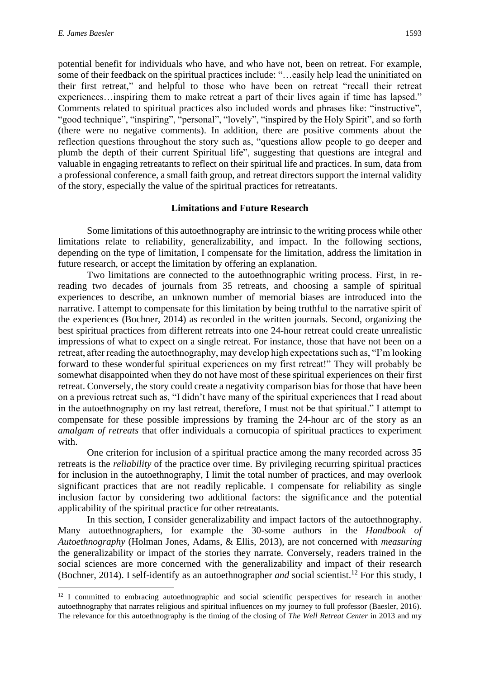potential benefit for individuals who have, and who have not, been on retreat. For example, some of their feedback on the spiritual practices include: "…easily help lead the uninitiated on their first retreat," and helpful to those who have been on retreat "recall their retreat experiences…inspiring them to make retreat a part of their lives again if time has lapsed." Comments related to spiritual practices also included words and phrases like: "instructive", "good technique", "inspiring", "personal", "lovely", "inspired by the Holy Spirit", and so forth (there were no negative comments). In addition, there are positive comments about the reflection questions throughout the story such as, "questions allow people to go deeper and plumb the depth of their current Spiritual life", suggesting that questions are integral and valuable in engaging retreatants to reflect on their spiritual life and practices. In sum, data from a professional conference, a small faith group, and retreat directors support the internal validity of the story, especially the value of the spiritual practices for retreatants.

#### **Limitations and Future Research**

Some limitations of this autoethnography are intrinsic to the writing process while other limitations relate to reliability, generalizability, and impact. In the following sections, depending on the type of limitation, I compensate for the limitation, address the limitation in future research, or accept the limitation by offering an explanation.

Two limitations are connected to the autoethnographic writing process. First, in rereading two decades of journals from 35 retreats, and choosing a sample of spiritual experiences to describe, an unknown number of memorial biases are introduced into the narrative. I attempt to compensate for this limitation by being truthful to the narrative spirit of the experiences (Bochner, 2014) as recorded in the written journals. Second, organizing the best spiritual practices from different retreats into one 24-hour retreat could create unrealistic impressions of what to expect on a single retreat. For instance, those that have not been on a retreat, after reading the autoethnography, may develop high expectations such as, "I'm looking forward to these wonderful spiritual experiences on my first retreat!" They will probably be somewhat disappointed when they do not have most of these spiritual experiences on their first retreat. Conversely, the story could create a negativity comparison bias for those that have been on a previous retreat such as, "I didn't have many of the spiritual experiences that I read about in the autoethnography on my last retreat, therefore, I must not be that spiritual." I attempt to compensate for these possible impressions by framing the 24-hour arc of the story as an *amalgam of retreats* that offer individuals a cornucopia of spiritual practices to experiment with.

One criterion for inclusion of a spiritual practice among the many recorded across 35 retreats is the *reliability* of the practice over time. By privileging recurring spiritual practices for inclusion in the autoethnography, I limit the total number of practices, and may overlook significant practices that are not readily replicable. I compensate for reliability as single inclusion factor by considering two additional factors: the significance and the potential applicability of the spiritual practice for other retreatants.

In this section, I consider generalizability and impact factors of the autoethnography. Many autoethnographers, for example the 30-some authors in the *Handbook of Autoethnography* (Holman Jones, Adams, & Ellis, 2013), are not concerned with *measuring* the generalizability or impact of the stories they narrate*.* Conversely, readers trained in the social sciences are more concerned with the generalizability and impact of their research (Bochner, 2014). I self-identify as an autoethnographer *and* social scientist.<sup>12</sup> For this study, I

<sup>&</sup>lt;sup>12</sup> I committed to embracing autoethnographic and social scientific perspectives for research in another autoethnography that narrates religious and spiritual influences on my journey to full professor (Baesler, 2016). The relevance for this autoethnography is the timing of the closing of *The Well Retreat Center* in 2013 and my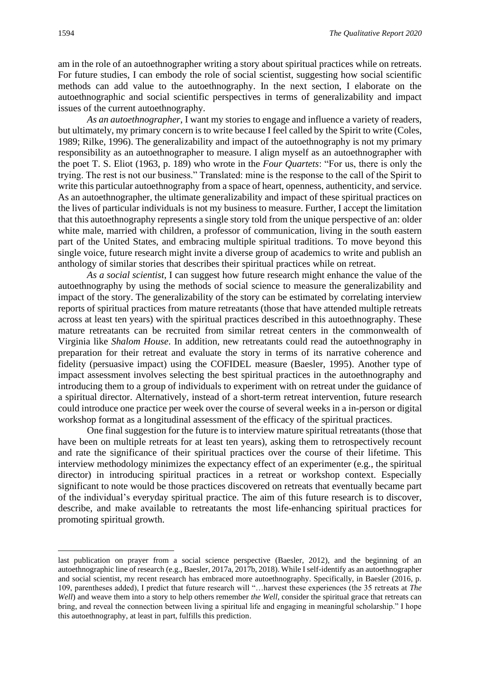am in the role of an autoethnographer writing a story about spiritual practices while on retreats. For future studies, I can embody the role of social scientist, suggesting how social scientific methods can add value to the autoethnography. In the next section, I elaborate on the autoethnographic and social scientific perspectives in terms of generalizability and impact issues of the current autoethnography.

*As an autoethnographer*, I want my stories to engage and influence a variety of readers, but ultimately, my primary concern is to write because I feel called by the Spirit to write (Coles, 1989; Rilke, 1996). The generalizability and impact of the autoethnography is not my primary responsibility as an autoethnographer to measure. I align myself as an autoethnographer with the poet T. S. Eliot (1963, p. 189) who wrote in the *Four Quartets*: "For us, there is only the trying. The rest is not our business." Translated: mine is the response to the call of the Spirit to write this particular autoethnography from a space of heart, openness, authenticity, and service. As an autoethnographer, the ultimate generalizability and impact of these spiritual practices on the lives of particular individuals is not my business to measure. Further, I accept the limitation that this autoethnography represents a single story told from the unique perspective of an: older white male, married with children, a professor of communication, living in the south eastern part of the United States, and embracing multiple spiritual traditions. To move beyond this single voice, future research might invite a diverse group of academics to write and publish an anthology of similar stories that describes their spiritual practices while on retreat.

*As a social scientist*, I can suggest how future research might enhance the value of the autoethnography by using the methods of social science to measure the generalizability and impact of the story. The generalizability of the story can be estimated by correlating interview reports of spiritual practices from mature retreatants (those that have attended multiple retreats across at least ten years) with the spiritual practices described in this autoethnography. These mature retreatants can be recruited from similar retreat centers in the commonwealth of Virginia like *Shalom House*. In addition, new retreatants could read the autoethnography in preparation for their retreat and evaluate the story in terms of its narrative coherence and fidelity (persuasive impact) using the COFIDEL measure (Baesler, 1995). Another type of impact assessment involves selecting the best spiritual practices in the autoethnography and introducing them to a group of individuals to experiment with on retreat under the guidance of a spiritual director. Alternatively, instead of a short-term retreat intervention, future research could introduce one practice per week over the course of several weeks in a in-person or digital workshop format as a longitudinal assessment of the efficacy of the spiritual practices.

One final suggestion for the future is to interview mature spiritual retreatants (those that have been on multiple retreats for at least ten years), asking them to retrospectively recount and rate the significance of their spiritual practices over the course of their lifetime. This interview methodology minimizes the expectancy effect of an experimenter (e.g., the spiritual director) in introducing spiritual practices in a retreat or workshop context. Especially significant to note would be those practices discovered on retreats that eventually became part of the individual's everyday spiritual practice. The aim of this future research is to discover, describe, and make available to retreatants the most life-enhancing spiritual practices for promoting spiritual growth.

last publication on prayer from a social science perspective (Baesler, 2012), and the beginning of an autoethnographic line of research (e.g., Baesler, 2017a, 2017b, 2018). While I self-identify as an autoethnographer and social scientist, my recent research has embraced more autoethnography. Specifically, in Baesler (2016, p. 109, parentheses added), I predict that future research will "…harvest these experiences (the 35 retreats at *The Well*) and weave them into a story to help others remember *the Well*, consider the spiritual grace that retreats can bring, and reveal the connection between living a spiritual life and engaging in meaningful scholarship." I hope this autoethnography, at least in part, fulfills this prediction.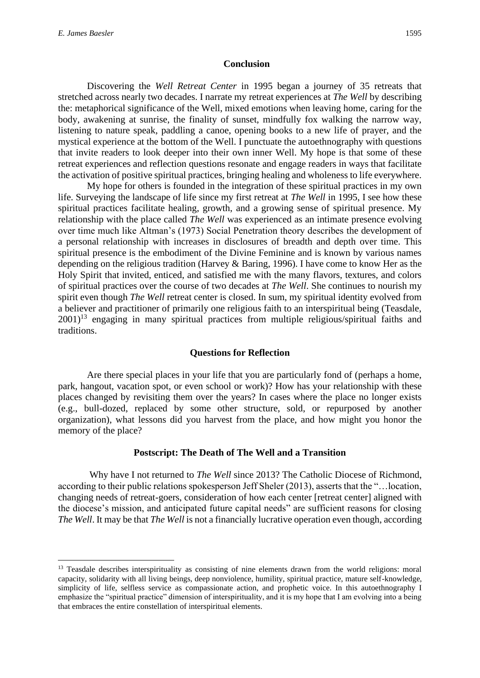#### **Conclusion**

Discovering the *Well Retreat Center* in 1995 began a journey of 35 retreats that stretched across nearly two decades. I narrate my retreat experiences at *The Well* by describing the: metaphorical significance of the Well, mixed emotions when leaving home, caring for the body, awakening at sunrise, the finality of sunset, mindfully fox walking the narrow way, listening to nature speak, paddling a canoe, opening books to a new life of prayer, and the mystical experience at the bottom of the Well. I punctuate the autoethnography with questions that invite readers to look deeper into their own inner Well. My hope is that some of these retreat experiences and reflection questions resonate and engage readers in ways that facilitate the activation of positive spiritual practices, bringing healing and wholeness to life everywhere.

My hope for others is founded in the integration of these spiritual practices in my own life. Surveying the landscape of life since my first retreat at *The Well* in 1995, I see how these spiritual practices facilitate healing, growth, and a growing sense of spiritual presence. My relationship with the place called *The Well* was experienced as an intimate presence evolving over time much like Altman's (1973) Social Penetration theory describes the development of a personal relationship with increases in disclosures of breadth and depth over time. This spiritual presence is the embodiment of the Divine Feminine and is known by various names depending on the religious tradition (Harvey & Baring, 1996). I have come to know Her as the Holy Spirit that invited, enticed, and satisfied me with the many flavors, textures, and colors of spiritual practices over the course of two decades at *The Well*. She continues to nourish my spirit even though *The Well* retreat center is closed. In sum, my spiritual identity evolved from a believer and practitioner of primarily one religious faith to an interspiritual being (Teasdale,  $2001$ <sup>13</sup> engaging in many spiritual practices from multiple religious/spiritual faiths and traditions.

#### **Questions for Reflection**

Are there special places in your life that you are particularly fond of (perhaps a home, park, hangout, vacation spot, or even school or work)? How has your relationship with these places changed by revisiting them over the years? In cases where the place no longer exists (e.g., bull-dozed, replaced by some other structure, sold, or repurposed by another organization), what lessons did you harvest from the place, and how might you honor the memory of the place?

#### **Postscript: The Death of The Well and a Transition**

Why have I not returned to *The Well* since 2013? The Catholic Diocese of Richmond, according to their public relations spokesperson Jeff Sheler (2013), asserts that the "…location, changing needs of retreat-goers, consideration of how each center [retreat center] aligned with the diocese's mission, and anticipated future capital needs" are sufficient reasons for closing *The Well*. It may be that *The Well* is not a financially lucrative operation even though, according

<sup>&</sup>lt;sup>13</sup> Teasdale describes interspirituality as consisting of nine elements drawn from the world religions: moral capacity, solidarity with all living beings, deep nonviolence, humility, spiritual practice, mature self-knowledge, simplicity of life, selfless service as compassionate action, and prophetic voice. In this autoethnography I emphasize the "spiritual practice" dimension of interspirituality, and it is my hope that I am evolving into a being that embraces the entire constellation of interspiritual elements.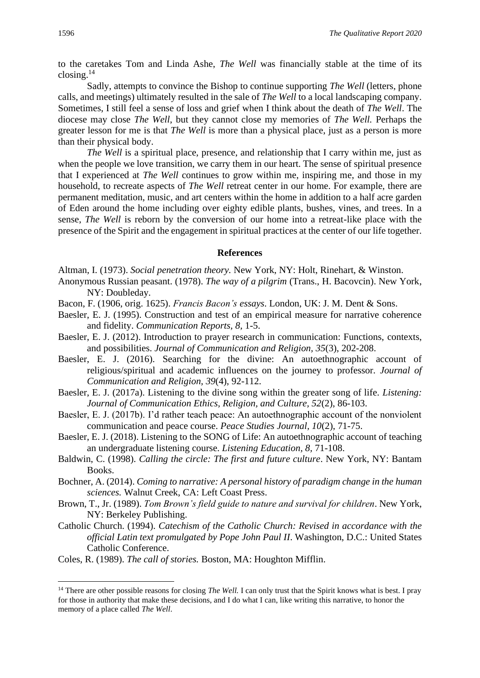to the caretakes Tom and Linda Ashe, *The Well* was financially stable at the time of its closing.<sup>14</sup>

Sadly, attempts to convince the Bishop to continue supporting *The Well* (letters, phone calls, and meetings) ultimately resulted in the sale of *The Well* to a local landscaping company. Sometimes, I still feel a sense of loss and grief when I think about the death of *The Well*. The diocese may close *The Well*, but they cannot close my memories of *The Well.* Perhaps the greater lesson for me is that *The Well* is more than a physical place, just as a person is more than their physical body.

*The Well* is a spiritual place, presence, and relationship that I carry within me, just as when the people we love transition, we carry them in our heart. The sense of spiritual presence that I experienced at *The Well* continues to grow within me, inspiring me, and those in my household, to recreate aspects of *The Well* retreat center in our home. For example, there are permanent meditation, music, and art centers within the home in addition to a half acre garden of Eden around the home including over eighty edible plants, bushes, vines, and trees. In a sense, *The Well* is reborn by the conversion of our home into a retreat-like place with the presence of the Spirit and the engagement in spiritual practices at the center of our life together.

#### **References**

Altman, I. (1973). *Social penetration theory.* New York, NY: Holt, Rinehart, & Winston.

- Anonymous Russian peasant. (1978). *The way of a pilgrim* (Trans., H. Bacovcin). New York, NY: Doubleday.
- Bacon, F. (1906, orig. 1625). *Francis Bacon's essays*. London, UK: J. M. Dent & Sons.
- Baesler, E. J. (1995). Construction and test of an empirical measure for narrative coherence and fidelity. *Communication Reports, 8,* 1-5.
- Baesler, E. J. (2012). Introduction to prayer research in communication: Functions, contexts, and possibilities. *Journal of Communication and Religion, 35*(3), 202-208.
- Baesler, E. J. (2016). Searching for the divine: An autoethnographic account of religious/spiritual and academic influences on the journey to professor*. Journal of Communication and Religion, 39*(4), 92-112.
- Baesler, E. J. (2017a). Listening to the divine song within the greater song of life. *Listening: Journal of Communication Ethics, Religion, and Culture, 52*(2), 86-103.
- Baesler, E. J. (2017b). I'd rather teach peace: An autoethnographic account of the nonviolent communication and peace course. *Peace Studies Journal, 10*(2), 71-75.
- Baesler, E. J. (2018). Listening to the SONG of Life: An autoethnographic account of teaching an undergraduate listening course. *Listening Education, 8,* 71-108.
- Baldwin, C. (1998). *Calling the circle: The first and future culture*. New York, NY: Bantam Books.
- Bochner, A. (2014). *Coming to narrative: A personal history of paradigm change in the human sciences.* Walnut Creek, CA: Left Coast Press.
- Brown, T., Jr. (1989). *Tom Brown's field guide to nature and survival for children*. New York, NY: Berkeley Publishing.
- Catholic Church. (1994). *Catechism of the Catholic Church: Revised in accordance with the official Latin text promulgated by Pope John Paul II*. Washington, D.C.: United States Catholic Conference.
- Coles, R. (1989). *The call of stories.* Boston, MA: Houghton Mifflin.

<sup>&</sup>lt;sup>14</sup> There are other possible reasons for closing *The Well*. I can only trust that the Spirit knows what is best. I pray for those in authority that make these decisions, and I do what I can, like writing this narrative, to honor the memory of a place called *The Well*.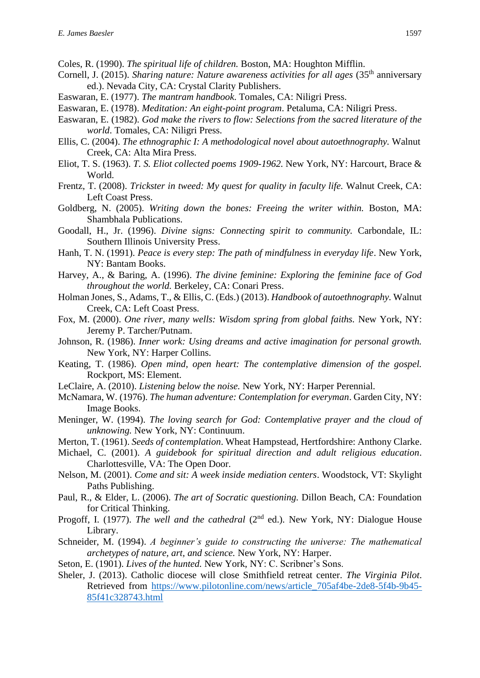- Coles, R. (1990). *The spiritual life of children.* Boston, MA: Houghton Mifflin.
- Cornell, J. (2015). *Sharing nature: Nature awareness activities for all ages* (35<sup>th</sup> anniversary ed.). Nevada City, CA: Crystal Clarity Publishers.
- Easwaran, E. (1977). *The mantram handbook*. Tomales, CA: Niligri Press.
- Easwaran, E. (1978). *Meditation: An eight-point program*. Petaluma, CA: Niligri Press.
- Easwaran, E. (1982). *God make the rivers to flow: Selections from the sacred literature of the world*. Tomales, CA: Niligri Press.
- Ellis, C. (2004). *The ethnographic I: A methodological novel about autoethnography.* Walnut Creek, CA: Alta Mira Press.
- Eliot, T. S. (1963). *T. S. Eliot collected poems 1909-1962.* New York, NY: Harcourt, Brace & World.
- Frentz, T. (2008). *Trickster in tweed: My quest for quality in faculty life.* Walnut Creek, CA: Left Coast Press.
- Goldberg, N. (2005). *Writing down the bones: Freeing the writer within.* Boston, MA: Shambhala Publications.
- Goodall, H., Jr. (1996). *Divine signs: Connecting spirit to community.* Carbondale, IL: Southern Illinois University Press.
- Hanh, T. N. (1991). *Peace is every step: The path of mindfulness in everyday life*. New York, NY: Bantam Books.
- Harvey, A., & Baring, A. (1996). *The divine feminine: Exploring the feminine face of God throughout the world.* Berkeley, CA: Conari Press.
- Holman Jones, S., Adams, T., & Ellis, C. (Eds.) (2013). *Handbook of autoethnography.* Walnut Creek, CA: Left Coast Press.
- Fox, M. (2000). *One river, many wells: Wisdom spring from global faiths.* New York, NY: Jeremy P. Tarcher/Putnam.
- Johnson, R. (1986). *Inner work: Using dreams and active imagination for personal growth.*  New York, NY: Harper Collins.
- Keating, T. (1986). *Open mind, open heart: The contemplative dimension of the gospel.* Rockport, MS: Element.
- LeClaire, A. (2010). *Listening below the noise.* New York, NY: Harper Perennial.
- McNamara, W. (1976). *The human adventure: Contemplation for everyman*. Garden City, NY: Image Books.
- Meninger, W. (1994). *The loving search for God: Contemplative prayer and the cloud of unknowing.* New York, NY: Continuum.
- Merton, T. (1961). *Seeds of contemplation*. Wheat Hampstead, Hertfordshire: Anthony Clarke.
- Michael, C. (2001). *A guidebook for spiritual direction and adult religious education*. Charlottesville, VA: The Open Door.
- Nelson, M. (2001). *Come and sit: A week inside mediation centers*. Woodstock, VT: Skylight Paths Publishing.
- Paul, R., & Elder, L. (2006). *The art of Socratic questioning.* Dillon Beach, CA: Foundation for Critical Thinking.
- Progoff, I. (1977). *The well and the cathedral* (2<sup>nd</sup> ed.). New York, NY: Dialogue House Library.
- Schneider, M. (1994). *A beginner's guide to constructing the universe: The mathematical archetypes of nature, art, and science.* New York, NY: Harper.
- Seton, E. (1901). *Lives of the hunted.* New York, NY: C. Scribner's Sons.
- Sheler, J. (2013). Catholic diocese will close Smithfield retreat center. *The Virginia Pilot*. Retrieved from [https://www.pilotonline.com/news/article\\_705af4be-2de8-5f4b-9b45-](https://www.pilotonline.com/news/article_705af4be-2de8-5f4b-9b45-85f41c328743.html) [85f41c328743.html](https://www.pilotonline.com/news/article_705af4be-2de8-5f4b-9b45-85f41c328743.html)